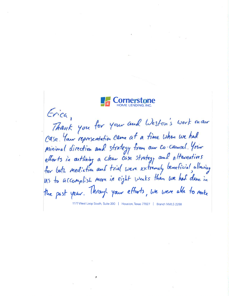

Erica, Thank you for your and Weston's work man Case. Your representation came at a time when we had minimal direction and strategy from our co-counsel. Your efforts in arthining a clean case strategy and alternatives for both mediation and trial were extremely beneficial allowing Us to accomplish more in eight weeks than we had done in the past year. Through your efforts, we were able to make

1177 West Loop South, Suite 200 | Houston, Texas 77027 | Branch NMLS 2258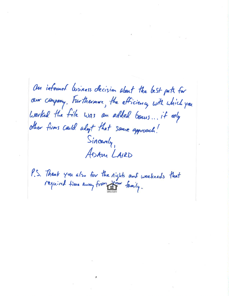On informed business decision about the best path for our company. Furthermore, the efficiency with which you worked the file was an added bours... it only other firms could about that same approach! Sincerly ADAM LAIRD

P.S. Thank you also for the rights and weekends that<br>required time away from your family.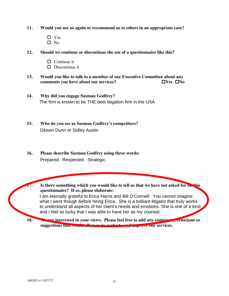- **11. Would you use us again or recommend us to others in an appropriate case?**
	- □ Yes  $\Box$  No
- **12. Should we continue or discontinue the use of a questionnaire like this?**
	- $\Box$  Continue it
	- $\square$  Discontinue it
- **13.** Would you like to talk to a member of our Executive Committee about any comments you have about our services?  $\square$  TVes  $\square$  No **comments you have about our services?**
- **14. Why did you engage Susman Godfrey?** The firm is known to be THE best litigation firm in the USA
- **15. Who do you see as Susman Godfrey's competitors?** Gibson Dunn or Sidley Austin
- **16. Please describe Susman Godfrey using three words:** Prepared. Respected. Strategic.
- **17. Is there something which you would like to tell us that we have not asked for on this questionnaire? If so, please elaborate:** I am eternally grateful to Erica Harris and Bill O'Connell. You cannot imagine what I went though before hiring Erica. She is a brilliant litigator that truly works to understand all aspects of her client's needs and emotions. She is one of a kind and I feel so lucky that I was able to have her as my counsel.
	- **18. We are interested in your views. Please feel free to add any comments, criticisms or suggestions that would allow us to evaluate and improve our services.**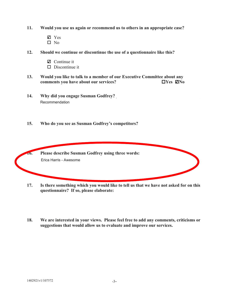- 11. Would you use us again or recommend us to others in an appropriate case?
	- $\mathbb{Z}$  Yes  $\Box$  No
- $12.$ Should we continue or discontinue the use of a questionnaire like this?
	- $\mathbf Z$  Continue it
	- $\Box$  Discontinue it
- $13.$ Would you like to talk to a member of our Executive Committee about any comments you have about our services?  $\Box$ Yes  $\Box$ No
- 14. Why did you engage Susman Godfrey? Recommendation
- $15.$ Who do you see as Susman Godfrey's competitors?



- Is there something which you would like to tell us that we have not asked for on this 17. questionnaire? If so, please elaborate:
- 18. We are interested in your views. Please feel free to add any comments, criticisms or suggestions that would allow us to evaluate and improve our services.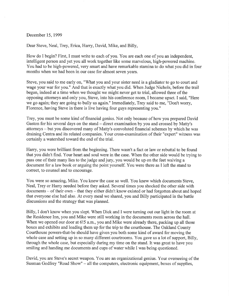December 15,1999

Dear Steve, Neal, Trey, Erica, Harry, David, Mike, and Billy,

How do I begin? First, I must write to each of you. You are each one of you an independent, intelligent person and yet you all work together like some marvelous, high-powered machine. You had to be high-powered, very smart and have remarkable stamina to do what you did in four months when we had been in our case for almost seven years.

Steve, you said to me early on, "What you and your sister need is a gladiator to go to court and wage your war for you." And that is exactly what you did. When Judge Nichols, before the trail began, indeed at a time when we thought we might never get to trial, allowed three of the opposing attorneys and only you, Steve, into his conference room, I became upset. I said, "Here we go again; they are going to bully us again." Immediately, Trey said to me, "Don't worry, Florence, having Steve in there is live having four guys representing you."

Trey, you must be some kind of financial genius. Not only because of how you prepared David Gaston for his several days on the stand – direct examination by you and crossed by Matty's attomeys - but you discovered many of Matty's convoluted financial schemes by which he was draining Centra and its related companies. Your cross-examination of their "expert" witness was certainly a watershed toward the end of the trial

Harry, you were brilliant from the beginning. There wasn't a fact or law or rebuttal to be found that you didn't find. Your heart and soul were in the case. 'When the other side would be trying to pass one of their many lies to the judge and jury, you would be up on the feet waiving <sup>a</sup> document for a law book or arguing the point yourself. You were there as I left the stand to correct, to counsel and to encourage.

You were so amazing, Mike. You knew the case so well. You knew which documents Steve, Neal, Trey or Hany needed before they asked. Several times you shocked the other side with documents - of their own - that they either didn't know existed or had forgotten about and hoped that everyone else had also. At every meal we shared, you and Billy participated in the battle discussions and the strategy that was planned.

Billy, I don't know when you slept. When Dick and I were turning out our light in the room at the Residence Inn, you and Mike were still working in the documents room across the hall. When we opened our door at 6!5 a.m., you and Mike were already there, packing up all those boxes and exhibits and loading them up for the trip to the courthouse. The Oakland County Courthouse powers-that-be should have given you both some kind of award for moving the whole case and setting up in so many different courtrooms. You gave us a lot of support, Billy, through the whole case, but especially during my time on the stand. It was great to have you smiling and handing me documents and cups of water while I was being questioned.

David, you are Steve's secret weapon. You are an organizational genius. Your overseeing of the Susman Godfrey "Road Show" – all the computers, electronic equipment, boxes of supplies,